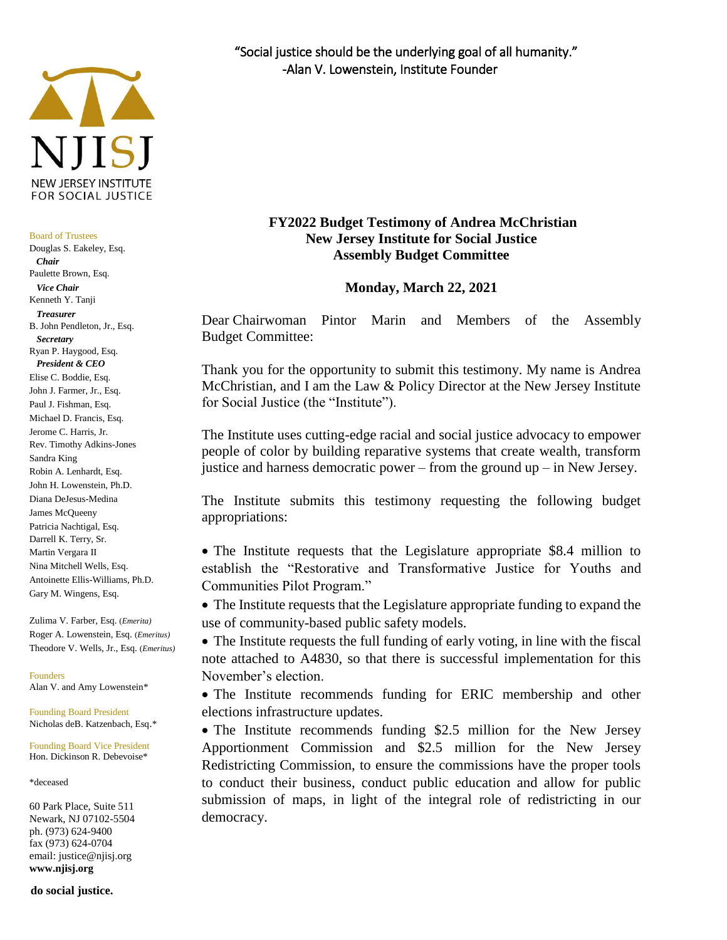

#### Board of Trustees

Douglas S. Eakeley, Esq.  *Chair* Paulette Brown, Esq.  *Vice Chair* Kenneth Y. Tanji  *Treasurer* B. John Pendleton, Jr., Esq.  *Secretary* Ryan P. Haygood, Esq. *President & CEO* Elise C. Boddie, Esq. John J. Farmer, Jr., Esq. Paul J. Fishman, Esq. Michael D. Francis, Esq. Jerome C. Harris, Jr. Rev. Timothy Adkins-Jones Sandra King Robin A. Lenhardt, Esq. John H. Lowenstein, Ph.D. Diana DeJesus-Medina James McQueeny Patricia Nachtigal, Esq. Darrell K. Terry, Sr. Martin Vergara II Nina Mitchell Wells, Esq. Antoinette Ellis-Williams, Ph.D. Gary M. Wingens, Esq.

Zulima V. Farber, Esq. (*Emerita)* Roger A. Lowenstein, Esq. (*Emeritus)* Theodore V. Wells, Jr., Esq. (*Emeritus)*

Founders Alan V. and Amy Lowenstein\*

Founding Board President Nicholas deB. Katzenbach, Esq.\*

Founding Board Vice President Hon. Dickinson R. Debevoise\*

\*deceased

60 Park Place, Suite 511 Newark, NJ 07102-5504 ph. (973) 624-9400 fax (973) 624-0704 email: justice@njisj.org **www.njisj.org**

**do social justice.**

# **FY2022 Budget Testimony of Andrea McChristian New Jersey Institute for Social Justice Assembly Budget Committee**

#### **Monday, March 22, 2021**

Dear Chairwoman Pintor Marin and Members of the Assembly Budget Committee:

Thank you for the opportunity to submit this testimony. My name is Andrea McChristian, and I am the Law & Policy Director at the New Jersey Institute for Social Justice (the "Institute").

The Institute uses cutting-edge racial and social justice advocacy to empower people of color by building reparative systems that create wealth, transform justice and harness democratic power – from the ground up – in New Jersey.

The Institute submits this testimony requesting the following budget appropriations:

• The Institute requests that the Legislature appropriate \$8.4 million to establish the "Restorative and Transformative Justice for Youths and Communities Pilot Program."

 The Institute requests that the Legislature appropriate funding to expand the use of community-based public safety models.

• The Institute requests the full funding of early voting, in line with the fiscal note attached to A4830, so that there is successful implementation for this November's election.

 The Institute recommends funding for ERIC membership and other elections infrastructure updates.

• The Institute recommends funding \$2.5 million for the New Jersey Apportionment Commission and \$2.5 million for the New Jersey Redistricting Commission, to ensure the commissions have the proper tools to conduct their business, conduct public education and allow for public submission of maps, in light of the integral role of redistricting in our democracy.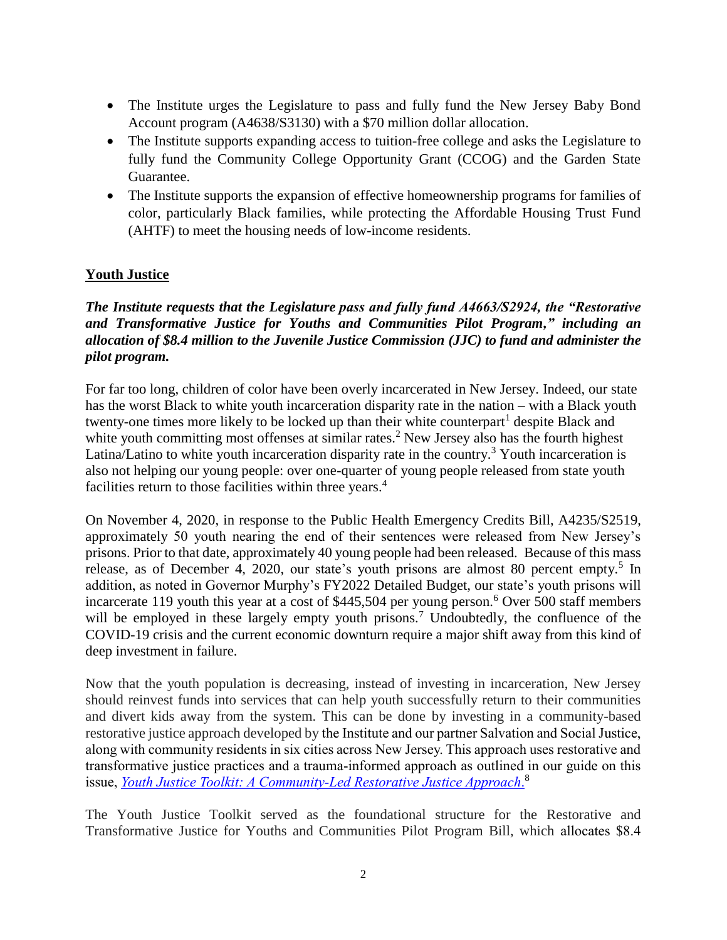- The Institute urges the Legislature to pass and fully fund the New Jersey Baby Bond Account program (A4638/S3130) with a \$70 million dollar allocation.
- The Institute supports expanding access to tuition-free college and asks the Legislature to fully fund the Community College Opportunity Grant (CCOG) and the Garden State Guarantee.
- The Institute supports the expansion of effective homeownership programs for families of color, particularly Black families, while protecting the Affordable Housing Trust Fund (AHTF) to meet the housing needs of low-income residents.

# **Youth Justice**

# *The Institute requests that the Legislature pass and fully fund A4663/S2924, the "Restorative and Transformative Justice for Youths and Communities Pilot Program," including an allocation of \$8.4 million to the Juvenile Justice Commission (JJC) to fund and administer the pilot program.*

For far too long, children of color have been overly incarcerated in New Jersey. Indeed, our state has the worst Black to white youth incarceration disparity rate in the nation – with a Black youth twenty-one times more likely to be locked up than their white counterpart<sup>1</sup> despite Black and white youth committing most offenses at similar rates.<sup>2</sup> New Jersey also has the fourth highest Latina/Latino to white youth incarceration disparity rate in the country.<sup>3</sup> Youth incarceration is also not helping our young people: over one-quarter of young people released from state youth facilities return to those facilities within three years.<sup>4</sup>

On November 4, 2020, in response to the Public Health Emergency Credits Bill, A4235/S2519, approximately 50 youth nearing the end of their sentences were released from New Jersey's prisons. Prior to that date, approximately 40 young people had been released. Because of this mass release, as of December 4, 2020, our state's youth prisons are almost 80 percent empty.<sup>5</sup> In addition, as noted in Governor Murphy's FY2022 Detailed Budget, our state's youth prisons will incarcerate 119 youth this year at a cost of \$445,504 per young person.<sup>6</sup> Over 500 staff members will be employed in these largely empty youth prisons.<sup>7</sup> Undoubtedly, the confluence of the COVID-19 crisis and the current economic downturn require a major shift away from this kind of deep investment in failure.

Now that the youth population is decreasing, instead of investing in incarceration, New Jersey should reinvest funds into services that can help youth successfully return to their communities and divert kids away from the system. This can be done by investing in a community-based restorative justice approach developed by the Institute and our partner Salvation and Social Justice, along with community residents in six cities across New Jersey. This approach uses restorative and transformative justice practices and a trauma-informed approach as outlined in our guide on this issue, *[Youth Justice Toolkit: A Community-Led Restorative Justice Approach](https://d3n8a8pro7vhmx.cloudfront.net/njisj/pages/1427/attachments/original/1595600849/Youth_Justice_Toolkit_Final.pdf?1595600849)*. 8

The Youth Justice Toolkit served as the foundational structure for the Restorative and Transformative Justice for Youths and Communities Pilot Program Bill, which allocates \$8.4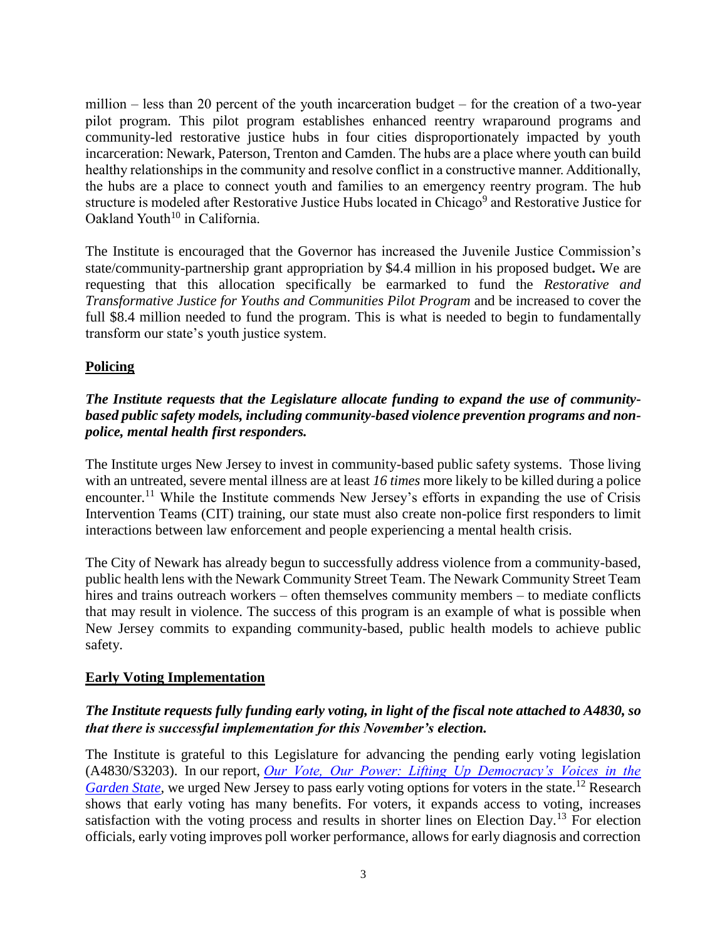million – less than 20 percent of the youth incarceration budget – for the creation of a two-year pilot program*.* This pilot program establishes enhanced reentry wraparound programs and community-led restorative justice hubs in four cities disproportionately impacted by youth incarceration: Newark, Paterson, Trenton and Camden. The hubs are a place where youth can build healthy relationships in the community and resolve conflict in a constructive manner. Additionally, the hubs are a place to connect youth and families to an emergency reentry program. The hub structure is modeled after Restorative Justice Hubs located in Chicago<sup>9</sup> and Restorative Justice for Oakland Youth<sup>10</sup> in California.

The Institute is encouraged that the Governor has increased the Juvenile Justice Commission's state/community-partnership grant appropriation by \$4.4 million in his proposed budget**.** We are requesting that this allocation specifically be earmarked to fund the *Restorative and Transformative Justice for Youths and Communities Pilot Program* and be increased to cover the full \$8.4 million needed to fund the program. This is what is needed to begin to fundamentally transform our state's youth justice system.

# **Policing**

# *The Institute requests that the Legislature allocate funding to expand the use of communitybased public safety models, including community-based violence prevention programs and nonpolice, mental health first responders.*

The Institute urges New Jersey to invest in community-based public safety systems. Those living with an untreated, severe mental illness are at least *16 times* more likely to be killed during a police encounter.<sup>11</sup> While the Institute commends New Jersey's efforts in expanding the use of Crisis Intervention Teams (CIT) training, our state must also create non-police first responders to limit interactions between law enforcement and people experiencing a mental health crisis.

The City of Newark has already begun to successfully address violence from a community-based, public health lens with the Newark Community Street Team. The Newark Community Street Team hires and trains outreach workers – often themselves community members – to mediate conflicts that may result in violence. The success of this program is an example of what is possible when New Jersey commits to expanding community-based, public health models to achieve public safety.

### **Early Voting Implementation**

# *The Institute requests fully funding early voting, in light of the fiscal note attached to A4830, so that there is successful implementation for this November's election.*

The Institute is grateful to this Legislature for advancing the pending early voting legislation (A4830/S3203). In our report, *[Our Vote, Our Power: Lifting Up Democracy's Voices in the](https://d3n8a8pro7vhmx.cloudfront.net/njisj/pages/1455/attachments/original/1580744995/Our_Vote__Our_Power_Report_for_Web.pdf?1580744995)  [Garden State](https://d3n8a8pro7vhmx.cloudfront.net/njisj/pages/1455/attachments/original/1580744995/Our_Vote__Our_Power_Report_for_Web.pdf?1580744995)*, we urged New Jersey to pass early voting options for voters in the state.<sup>12</sup> Research shows that early voting has many benefits. For voters, it expands access to voting, increases satisfaction with the voting process and results in shorter lines on Election Day.<sup>13</sup> For election officials, early voting improves poll worker performance, allows for early diagnosis and correction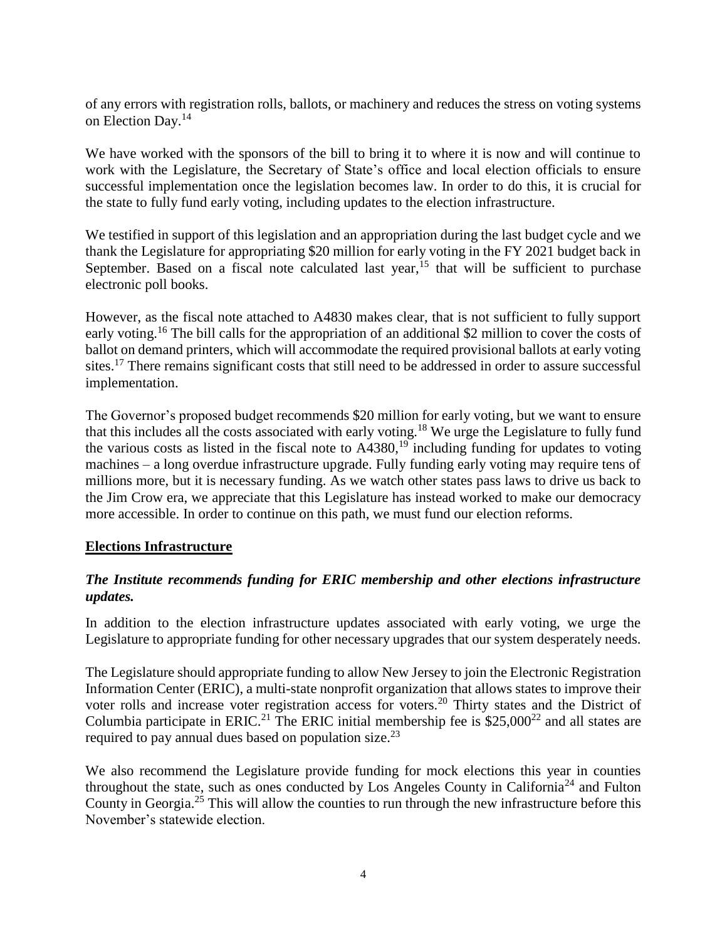of any errors with registration rolls, ballots, or machinery and reduces the stress on voting systems on Election Day.<sup>14</sup>

We have worked with the sponsors of the bill to bring it to where it is now and will continue to work with the Legislature, the Secretary of State's office and local election officials to ensure successful implementation once the legislation becomes law. In order to do this, it is crucial for the state to fully fund early voting, including updates to the election infrastructure.

We testified in support of this legislation and an appropriation during the last budget cycle and we thank the Legislature for appropriating \$20 million for early voting in the FY 2021 budget back in September. Based on a fiscal note calculated last year,  $^{15}$  that will be sufficient to purchase electronic poll books.

However, as the fiscal note attached to A4830 makes clear, that is not sufficient to fully support early voting.<sup>16</sup> The bill calls for the appropriation of an additional \$2 million to cover the costs of ballot on demand printers, which will accommodate the required provisional ballots at early voting sites.<sup>17</sup> There remains significant costs that still need to be addressed in order to assure successful implementation.

The Governor's proposed budget recommends \$20 million for early voting, but we want to ensure that this includes all the costs associated with early voting.<sup>18</sup> We urge the Legislature to fully fund the various costs as listed in the fiscal note to  $\mathbf{A}4380$ ,<sup>19</sup> including funding for updates to voting machines – a long overdue infrastructure upgrade. Fully funding early voting may require tens of millions more, but it is necessary funding. As we watch other states pass laws to drive us back to the Jim Crow era, we appreciate that this Legislature has instead worked to make our democracy more accessible. In order to continue on this path, we must fund our election reforms.

# **Elections Infrastructure**

# *The Institute recommends funding for ERIC membership and other elections infrastructure updates.*

In addition to the election infrastructure updates associated with early voting, we urge the Legislature to appropriate funding for other necessary upgrades that our system desperately needs.

The Legislature should appropriate funding to allow New Jersey to join the Electronic Registration Information Center (ERIC), a multi-state nonprofit organization that allows states to improve their voter rolls and increase voter registration access for voters.<sup>20</sup> Thirty states and the District of Columbia participate in ERIC.<sup>21</sup> The ERIC initial membership fee is  $$25,000^{22}$  and all states are required to pay annual dues based on population size.<sup>23</sup>

We also recommend the Legislature provide funding for mock elections this year in counties throughout the state, such as ones conducted by Los Angeles County in California<sup>24</sup> and Fulton County in Georgia.<sup>25</sup> This will allow the counties to run through the new infrastructure before this November's statewide election.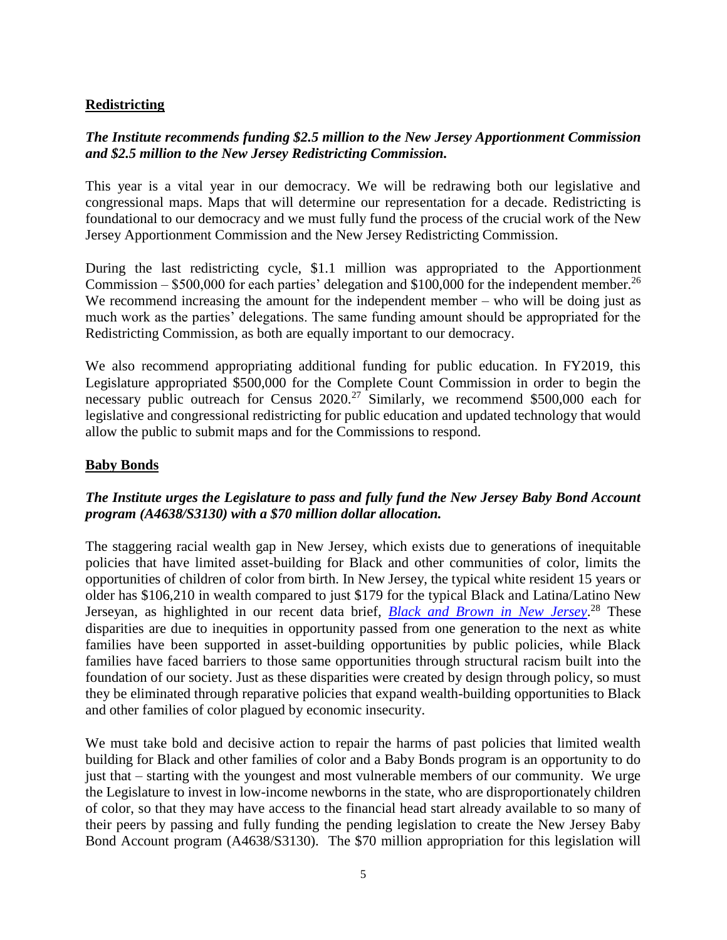## **Redistricting**

# *The Institute recommends funding \$2.5 million to the New Jersey Apportionment Commission and \$2.5 million to the New Jersey Redistricting Commission.*

This year is a vital year in our democracy. We will be redrawing both our legislative and congressional maps. Maps that will determine our representation for a decade. Redistricting is foundational to our democracy and we must fully fund the process of the crucial work of the New Jersey Apportionment Commission and the New Jersey Redistricting Commission.

During the last redistricting cycle, \$1.1 million was appropriated to the Apportionment Commission – \$500,000 for each parties' delegation and \$100,000 for the independent member.<sup>26</sup> We recommend increasing the amount for the independent member – who will be doing just as much work as the parties' delegations. The same funding amount should be appropriated for the Redistricting Commission, as both are equally important to our democracy.

We also recommend appropriating additional funding for public education. In FY2019, this Legislature appropriated \$500,000 for the Complete Count Commission in order to begin the necessary public outreach for Census  $2020$ <sup>27</sup> Similarly, we recommend \$500,000 each for legislative and congressional redistricting for public education and updated technology that would allow the public to submit maps and for the Commissions to respond.

## **Baby Bonds**

# *The Institute urges the Legislature to pass and fully fund the New Jersey Baby Bond Account program (A4638/S3130) with a \$70 million dollar allocation.*

The staggering racial wealth gap in New Jersey, which exists due to generations of inequitable policies that have limited asset-building for Black and other communities of color, limits the opportunities of children of color from birth. In New Jersey, the typical white resident 15 years or older has \$106,210 in wealth compared to just \$179 for the typical Black and Latina/Latino New Jerseyan, as highlighted in our recent data brief, *[Black and Brown in New Jersey](https://d3n8a8pro7vhmx.cloudfront.net/njisj/pages/689/attachments/original/1603320237/Black_and_Brown_in_NJ_Final.pdf?1603320237)*. <sup>28</sup> These disparities are due to inequities in opportunity passed from one generation to the next as white families have been supported in asset-building opportunities by public policies, while Black families have faced barriers to those same opportunities through structural racism built into the foundation of our society. Just as these disparities were created by design through policy, so must they be eliminated through reparative policies that expand wealth-building opportunities to Black and other families of color plagued by economic insecurity.

We must take bold and decisive action to repair the harms of past policies that limited wealth building for Black and other families of color and a Baby Bonds program is an opportunity to do just that – starting with the youngest and most vulnerable members of our community. We urge the Legislature to invest in low-income newborns in the state, who are disproportionately children of color, so that they may have access to the financial head start already available to so many of their peers by passing and fully funding the pending legislation to create the New Jersey Baby Bond Account program (A4638/S3130). The \$70 million appropriation for this legislation will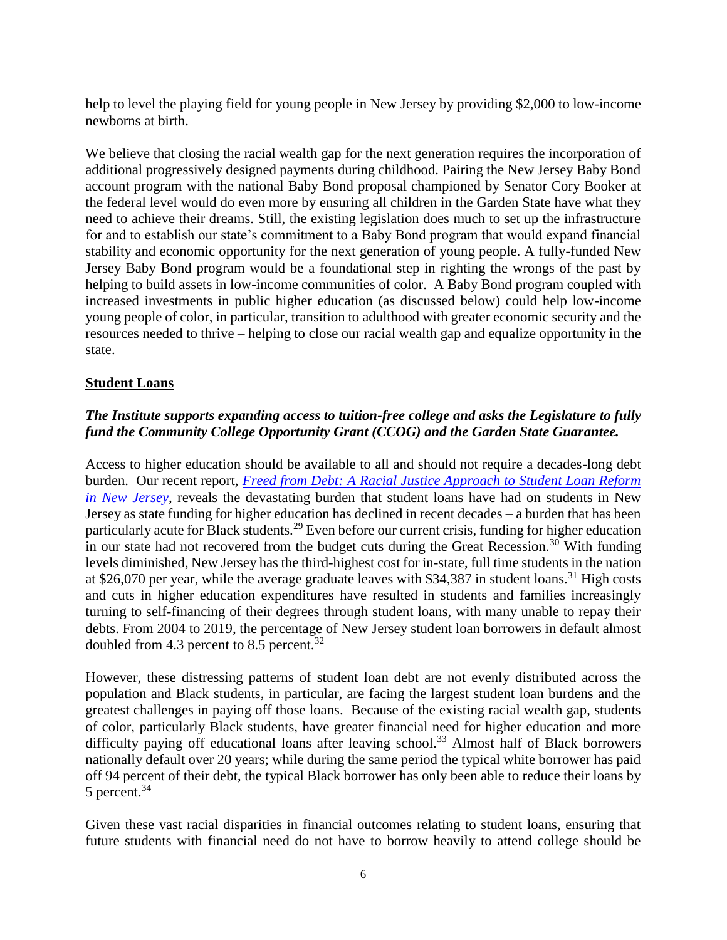help to level the playing field for young people in New Jersey by providing \$2,000 to low-income newborns at birth.

We believe that closing the racial wealth gap for the next generation requires the incorporation of additional progressively designed payments during childhood. Pairing the New Jersey Baby Bond account program with the national Baby Bond proposal championed by Senator Cory Booker at the federal level would do even more by ensuring all children in the Garden State have what they need to achieve their dreams. Still, the existing legislation does much to set up the infrastructure for and to establish our state's commitment to a Baby Bond program that would expand financial stability and economic opportunity for the next generation of young people. A fully-funded New Jersey Baby Bond program would be a foundational step in righting the wrongs of the past by helping to build assets in low-income communities of color. A Baby Bond program coupled with increased investments in public higher education (as discussed below) could help low-income young people of color, in particular, transition to adulthood with greater economic security and the resources needed to thrive – helping to close our racial wealth gap and equalize opportunity in the state.

# **Student Loans**

# *The Institute supports expanding access to tuition-free college and asks the Legislature to fully fund the Community College Opportunity Grant (CCOG) and the Garden State Guarantee.*

Access to higher education should be available to all and should not require a decades-long debt burden. Our recent report, *[Freed from Debt: A Racial Justice Approach to Student Loan Reform](https://d3n8a8pro7vhmx.cloudfront.net/njisj/pages/689/attachments/original/1593521244/Freed_From_Debt_Report.pdf?1593521244)  [in New Jersey](https://d3n8a8pro7vhmx.cloudfront.net/njisj/pages/689/attachments/original/1593521244/Freed_From_Debt_Report.pdf?1593521244)*, reveals the devastating burden that student loans have had on students in New Jersey as state funding for higher education has declined in recent decades – a burden that has been particularly acute for Black students.<sup>29</sup> Even before our current crisis, funding for higher education in our state had not recovered from the budget cuts during the Great Recession.<sup>30</sup> With funding levels diminished, New Jersey has the third-highest cost for in-state, full time students in the nation at \$26,070 per year, while the average graduate leaves with \$34,387 in student loans.<sup>31</sup> High costs and cuts in higher education expenditures have resulted in students and families increasingly turning to self-financing of their degrees through student loans, with many unable to repay their debts. From 2004 to 2019, the percentage of New Jersey student loan borrowers in default almost doubled from 4.3 percent to 8.5 percent.<sup>32</sup>

However, these distressing patterns of student loan debt are not evenly distributed across the population and Black students, in particular, are facing the largest student loan burdens and the greatest challenges in paying off those loans. Because of the existing racial wealth gap, students of color, particularly Black students, have greater financial need for higher education and more difficulty paying off educational loans after leaving school.<sup>33</sup> Almost half of Black borrowers nationally default over 20 years; while during the same period the typical white borrower has paid off 94 percent of their debt, the typical Black borrower has only been able to reduce their loans by 5 percent.<sup>34</sup>

Given these vast racial disparities in financial outcomes relating to student loans, ensuring that future students with financial need do not have to borrow heavily to attend college should be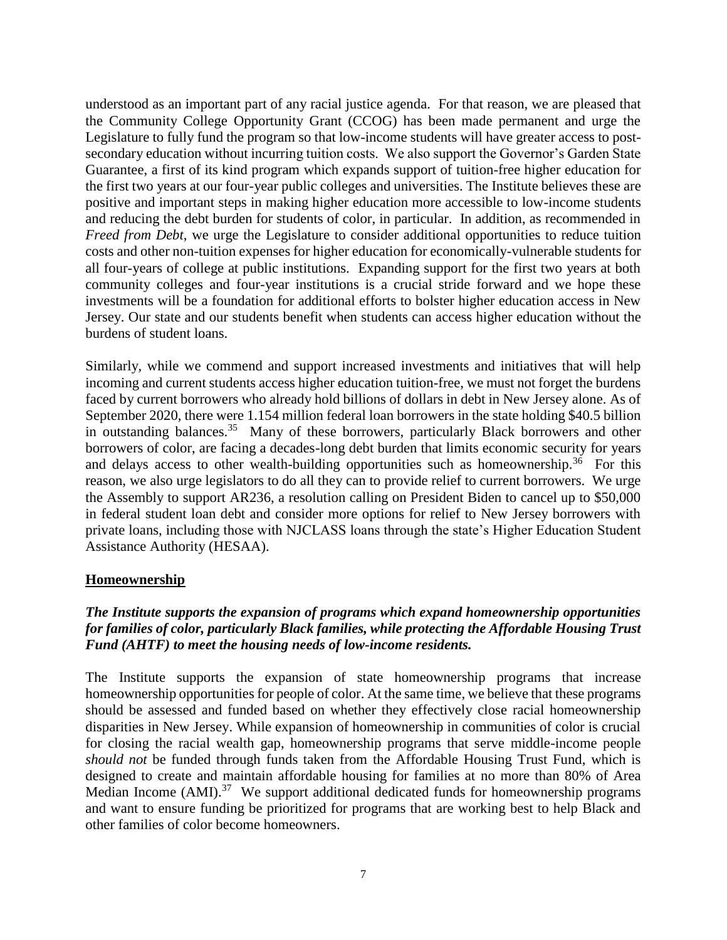understood as an important part of any racial justice agenda. For that reason, we are pleased that the Community College Opportunity Grant (CCOG) has been made permanent and urge the Legislature to fully fund the program so that low-income students will have greater access to postsecondary education without incurring tuition costs. We also support the Governor's Garden State Guarantee, a first of its kind program which expands support of tuition-free higher education for the first two years at our four-year public colleges and universities. The Institute believes these are positive and important steps in making higher education more accessible to low-income students and reducing the debt burden for students of color, in particular. In addition, as recommended in *Freed from Debt*, we urge the Legislature to consider additional opportunities to reduce tuition costs and other non-tuition expenses for higher education for economically-vulnerable students for all four-years of college at public institutions. Expanding support for the first two years at both community colleges and four-year institutions is a crucial stride forward and we hope these investments will be a foundation for additional efforts to bolster higher education access in New Jersey. Our state and our students benefit when students can access higher education without the burdens of student loans.

Similarly, while we commend and support increased investments and initiatives that will help incoming and current students access higher education tuition-free, we must not forget the burdens faced by current borrowers who already hold billions of dollars in debt in New Jersey alone. As of September 2020, there were 1.154 million federal loan borrowers in the state holding \$40.5 billion in outstanding balances.<sup>35</sup> Many of these borrowers, particularly Black borrowers and other borrowers of color, are facing a decades-long debt burden that limits economic security for years and delays access to other wealth-building opportunities such as homeownership.<sup>36</sup> For this reason, we also urge legislators to do all they can to provide relief to current borrowers. We urge the Assembly to support AR236, a resolution calling on President Biden to cancel up to \$50,000 in federal student loan debt and consider more options for relief to New Jersey borrowers with private loans, including those with NJCLASS loans through the state's Higher Education Student Assistance Authority (HESAA).

### **Homeownership**

# *The Institute supports the expansion of programs which expand homeownership opportunities for families of color, particularly Black families, while protecting the Affordable Housing Trust Fund (AHTF) to meet the housing needs of low-income residents.*

The Institute supports the expansion of state homeownership programs that increase homeownership opportunities for people of color. At the same time, we believe that these programs should be assessed and funded based on whether they effectively close racial homeownership disparities in New Jersey. While expansion of homeownership in communities of color is crucial for closing the racial wealth gap, homeownership programs that serve middle-income people *should not* be funded through funds taken from the Affordable Housing Trust Fund, which is designed to create and maintain affordable housing for families at no more than 80% of Area Median Income (AMI).<sup>37</sup> We support additional dedicated funds for homeownership programs and want to ensure funding be prioritized for programs that are working best to help Black and other families of color become homeowners.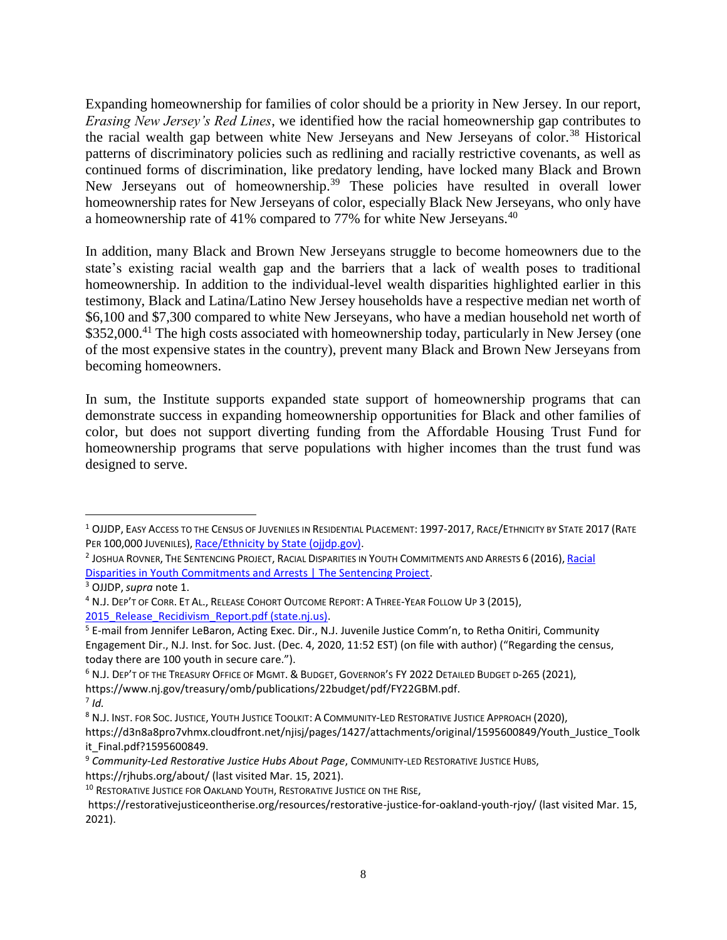Expanding homeownership for families of color should be a priority in New Jersey. In our report, *Erasing New Jersey's Red Lines*, we identified how the racial homeownership gap contributes to the racial wealth gap between white New Jerseyans and New Jerseyans of color.<sup>38</sup> Historical patterns of discriminatory policies such as redlining and racially restrictive covenants, as well as continued forms of discrimination, like predatory lending, have locked many Black and Brown New Jerseyans out of homeownership.<sup>39</sup> These policies have resulted in overall lower homeownership rates for New Jerseyans of color, especially Black New Jerseyans, who only have a homeownership rate of 41% compared to 77% for white New Jerseyans.<sup>40</sup>

In addition, many Black and Brown New Jerseyans struggle to become homeowners due to the state's existing racial wealth gap and the barriers that a lack of wealth poses to traditional homeownership. In addition to the individual-level wealth disparities highlighted earlier in this testimony, Black and Latina/Latino New Jersey households have a respective median net worth of \$6,100 and \$7,300 compared to white New Jerseyans, who have a median household net worth of \$352,000.<sup>41</sup> The high costs associated with homeownership today, particularly in New Jersey (one of the most expensive states in the country), prevent many Black and Brown New Jerseyans from becoming homeowners.

In sum, the Institute supports expanded state support of homeownership programs that can demonstrate success in expanding homeownership opportunities for Black and other families of color, but does not support diverting funding from the Affordable Housing Trust Fund for homeownership programs that serve populations with higher incomes than the trust fund was designed to serve.

 $\overline{a}$ 

<sup>&</sup>lt;sup>1</sup> OJJDP, EASY ACCESS TO THE CENSUS OF JUVENILES IN RESIDENTIAL PLACEMENT: 1997-2017, RACE/ETHNICITY BY STATE 2017 (RATE PER 100,000 JUVENILES), [Race/Ethnicity by State \(ojjdp.gov\).](https://www.ojjdp.gov/ojstatbb/ezacjrp/asp/State_Race.asp?state=59&topic=State_Race&year=2017&percent=rate)

<sup>&</sup>lt;sup>2</sup> JOSHUA ROVNER, THE SENTENCING PROJECT, RACIAL DISPARITIES IN YOUTH COMMITMENTS AND ARRESTS 6 (2016), <mark>Racial</mark> [Disparities in Youth Commitments and Arrests | The Sentencing Project.](https://www.sentencingproject.org/publications/racial-disparities-in-youth-commitments-and-arrests/)

<sup>3</sup> OJJDP, *supra* note 1.

<sup>4</sup> N.J. DEP'T OF CORR. ET AL., RELEASE COHORT OUTCOME REPORT: A THREE-YEAR FOLLOW UP 3 (2015), 2015 Release Recidivism Report.pdf (state.nj.us).

<sup>5</sup> E-mail from Jennifer LeBaron, Acting Exec. Dir., N.J. Juvenile Justice Comm'n, to Retha Onitiri, Community Engagement Dir., N.J. Inst. for Soc. Just. (Dec. 4, 2020, 11:52 EST) (on file with author) ("Regarding the census, today there are 100 youth in secure care.").

<sup>6</sup> N.J. DEP'T OF THE TREASURY OFFICE OF MGMT. & BUDGET, GOVERNOR'S FY 2022 DETAILED BUDGET D-265 (2021),

https://www.nj.gov/treasury/omb/publications/22budget/pdf/FY22GBM.pdf.

<sup>7</sup> *Id.* 

<sup>8</sup> N.J. INST. FOR SOC. JUSTICE, YOUTH JUSTICE TOOLKIT: A COMMUNITY-LED RESTORATIVE JUSTICE APPROACH (2020),

https://d3n8a8pro7vhmx.cloudfront.net/njisj/pages/1427/attachments/original/1595600849/Youth\_Justice\_Toolk it\_Final.pdf?1595600849.

<sup>9</sup> *Community-Led Restorative Justice Hubs About Page*, COMMUNITY-LED RESTORATIVE JUSTICE HUBS, https://rjhubs.org/about/ (last visited Mar. 15, 2021).

<sup>&</sup>lt;sup>10</sup> RESTORATIVE JUSTICE FOR OAKLAND YOUTH, RESTORATIVE JUSTICE ON THE RISE,

https://restorativejusticeontherise.org/resources/restorative-justice-for-oakland-youth-rjoy/ (last visited Mar. 15, 2021).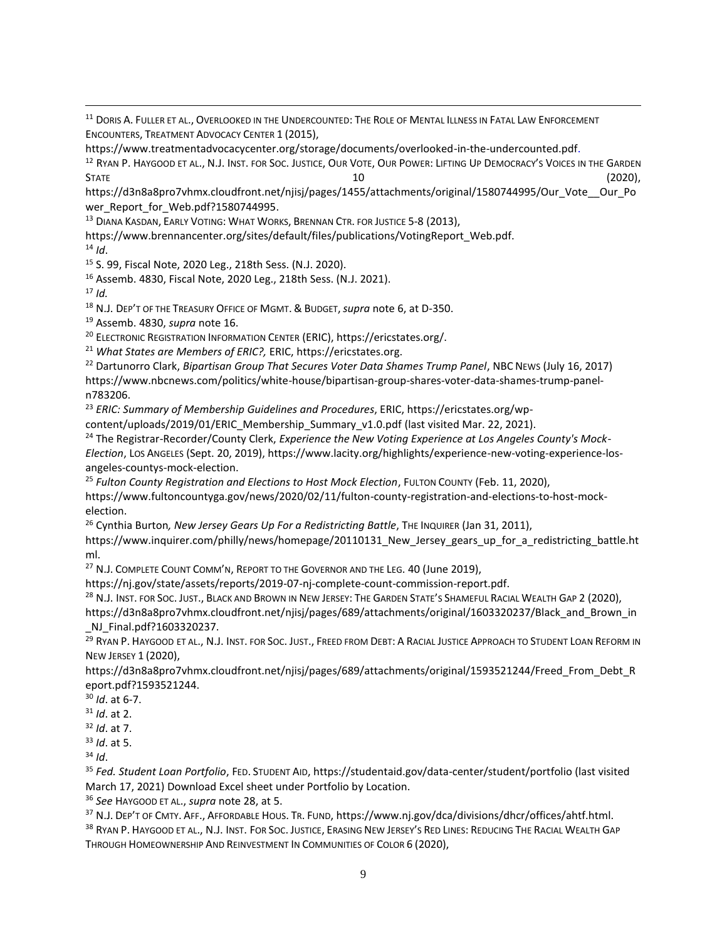<sup>11</sup> DORIS A. FULLER ET AL., OVERLOOKED IN THE UNDERCOUNTED: THE ROLE OF MENTAL ILLNESS IN FATAL LAW ENFORCEMENT ENCOUNTERS, TREATMENT ADVOCACY CENTER 1 (2015),

https://www.treatmentadvocacycenter.org/storage/documents/overlooked-in-the-undercounted.pdf.

<sup>12</sup> RYAN P. HAYGOOD ET AL., N.J. INST. FOR SOC. JUSTICE, OUR VOTE, OUR POWER: LIFTING UP DEMOCRACY'S VOICES IN THE GARDEN  $STATE$  (2020),

https://d3n8a8pro7vhmx.cloudfront.net/njisj/pages/1455/attachments/original/1580744995/Our\_Vote\_\_Our\_Po wer\_Report\_for\_Web.pdf?1580744995.

<sup>13</sup> DIANA KASDAN, EARLY VOTING: WHAT WORKS, BRENNAN CTR. FOR JUSTICE 5-8 (2013),

https://www.brennancenter.org/sites/default/files/publications/VotingReport\_Web.pdf.

 $14$  *Id.* 

 $\overline{a}$ 

<sup>15</sup> S. 99, Fiscal Note, 2020 Leg., 218th Sess. (N.J. 2020).

<sup>16</sup> Assemb. 4830, Fiscal Note, 2020 Leg., 218th Sess. (N.J. 2021).

<sup>17</sup> *Id.* 

<sup>18</sup> N.J. DEP'T OF THE TREASURY OFFICE OF MGMT. & BUDGET,*supra* note 6, at D-350.

<sup>19</sup> Assemb. 4830, *supra* note 16.

<sup>20</sup> ELECTRONIC REGISTRATION INFORMATION CENTER (ERIC), https://ericstates.org/.

<sup>21</sup> *What States are Members of ERIC?,* ERIC, https://ericstates.org.

<sup>22</sup> Dartunorro Clark, *Bipartisan Group That Secures Voter Data Shames Trump Panel*, NBC NEWS (July 16, 2017) https://www.nbcnews.com/politics/white-house/bipartisan-group-shares-voter-data-shames-trump-paneln783206.

<sup>23</sup> *ERIC: Summary of Membership Guidelines and Procedures*, ERIC, https://ericstates.org/wp-

content/uploads/2019/01/ERIC\_Membership\_Summary\_v1.0.pdf (last visited Mar. 22, 2021).

<sup>24</sup> The Registrar-Recorder/County Clerk, *Experience the New Voting Experience at Los Angeles County's Mock-Election*, LOS ANGELES (Sept. 20, 2019), https://www.lacity.org/highlights/experience-new-voting-experience-losangeles-countys-mock-election.

<sup>25</sup> *Fulton County Registration and Elections to Host Mock Election*, FULTON COUNTY (Feb. 11, 2020),

https://www.fultoncountyga.gov/news/2020/02/11/fulton-county-registration-and-elections-to-host-mockelection.

<sup>26</sup> Cynthia Burton*, New Jersey Gears Up For a Redistricting Battle*, THE INQUIRER (Jan 31, 2011),

https://www.inquirer.com/philly/news/homepage/20110131\_New\_Jersey\_gears\_up\_for\_a\_redistricting\_battle.ht ml.

<sup>27</sup> N.J. COMPLETE COUNT COMM'N, REPORT TO THE GOVERNOR AND THE LEG. 40 (June 2019),

https://nj.gov/state/assets/reports/2019-07-nj-complete-count-commission-report.pdf.

<sup>28</sup> N.J. INST. FOR SOC. JUST., BLACK AND BROWN IN NEW JERSEY: THE GARDEN STATE'S SHAMEFUL RACIAL WEALTH GAP 2 (2020),

https://d3n8a8pro7vhmx.cloudfront.net/njisj/pages/689/attachments/original/1603320237/Black\_and\_Brown\_in NJ Final.pdf?1603320237.

<sup>29</sup> RYAN P. HAYGOOD ET AL., N.J. INST. FOR SOC. JUST., FREED FROM DEBT: A RACIAL JUSTICE APPROACH TO STUDENT LOAN REFORM IN NEW JERSEY 1 (2020),

https://d3n8a8pro7vhmx.cloudfront.net/njisj/pages/689/attachments/original/1593521244/Freed\_From\_Debt\_R eport.pdf?1593521244.

<sup>30</sup> *Id*. at 6-7.

<sup>31</sup> *Id*. at 2.

<sup>32</sup> *Id*. at 7.

<sup>33</sup> *Id*. at 5.

 $34$  *Id.* 

<sup>35</sup> *Fed. Student Loan Portfolio*, FED. STUDENT AID, https://studentaid.gov/data-center/student/portfolio (last visited March 17, 2021) Download Excel sheet under Portfolio by Location.

<sup>36</sup> *See* HAYGOOD ET AL., *supra* note 28, at 5.

37 N.J. DEP'T OF CMTY. AFF., AFFORDABLE HOUS. TR. FUND, https://www.nj.gov/dca/divisions/dhcr/offices/ahtf.html.

38 RYAN P. HAYGOOD ET AL., N.J. INST. FOR SOC. JUSTICE, ERASING NEW JERSEY'S RED LINES: REDUCING THE RACIAL WEALTH GAP THROUGH HOMEOWNERSHIP AND REINVESTMENT IN COMMUNITIES OF COLOR 6 (2020),